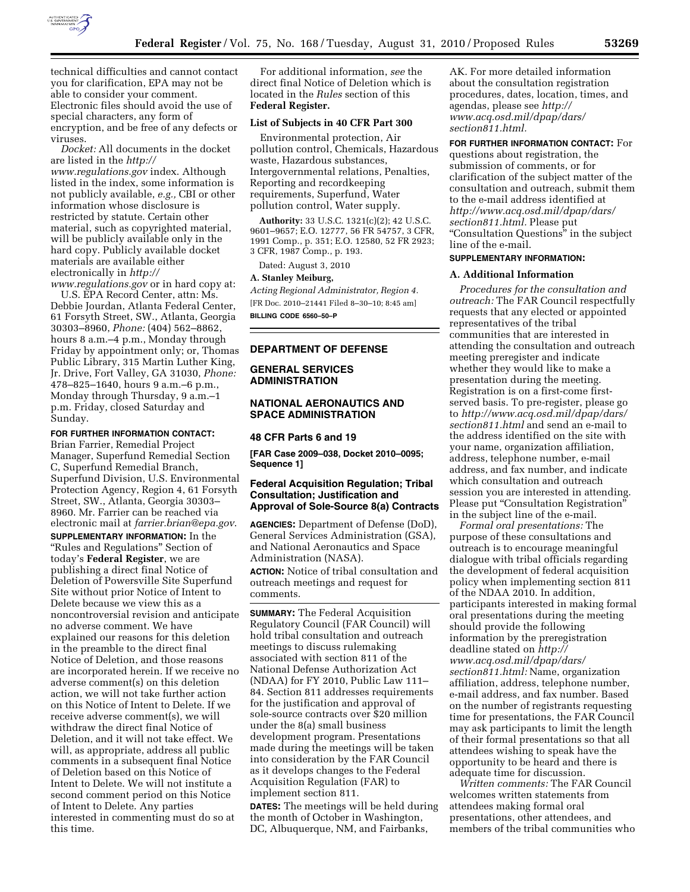

technical difficulties and cannot contact you for clarification, EPA may not be able to consider your comment. Electronic files should avoid the use of special characters, any form of encryption, and be free of any defects or viruses.

*Docket:* All documents in the docket are listed in the *[http://](http://www.regulations.gov) [www.regulations.gov](http://www.regulations.gov)* index. Although listed in the index, some information is not publicly available, *e.g.,* CBI or other information whose disclosure is restricted by statute. Certain other material, such as copyrighted material, will be publicly available only in the hard copy. Publicly available docket materials are available either electronically in *[http://](http://www.regulations.gov)* 

*[www.regulations.gov](http://www.regulations.gov)* or in hard copy at: U.S. EPA Record Center, attn: Ms. Debbie Jourdan, Atlanta Federal Center, 61 Forsyth Street, SW., Atlanta, Georgia 30303–8960, *Phone:* (404) 562–8862, hours 8 a.m.–4 p.m., Monday through Friday by appointment only; or, Thomas Public Library, 315 Martin Luther King, Jr. Drive, Fort Valley, GA 31030, *Phone:*  478–825–1640, hours 9 a.m.–6 p.m., Monday through Thursday, 9 a.m.–1 p.m. Friday, closed Saturday and Sunday.

## **FOR FURTHER INFORMATION CONTACT:**

Brian Farrier, Remedial Project Manager, Superfund Remedial Section C, Superfund Remedial Branch, Superfund Division, U.S. Environmental Protection Agency, Region 4, 61 Forsyth Street, SW., Atlanta, Georgia 30303– 8960. Mr. Farrier can be reached via electronic mail at *[farrier.brian@epa.gov](mailto:farrier.brian@epa.gov)*. **SUPPLEMENTARY INFORMATION:** In the

''Rules and Regulations'' Section of today's **Federal Register**, we are publishing a direct final Notice of Deletion of Powersville Site Superfund Site without prior Notice of Intent to Delete because we view this as a noncontroversial revision and anticipate no adverse comment. We have explained our reasons for this deletion in the preamble to the direct final Notice of Deletion, and those reasons are incorporated herein. If we receive no adverse comment(s) on this deletion action, we will not take further action on this Notice of Intent to Delete. If we receive adverse comment(s), we will withdraw the direct final Notice of Deletion, and it will not take effect. We will, as appropriate, address all public comments in a subsequent final Notice of Deletion based on this Notice of Intent to Delete. We will not institute a second comment period on this Notice of Intent to Delete. Any parties interested in commenting must do so at this time.

For additional information, *see* the direct final Notice of Deletion which is located in the *Rules* section of this **Federal Register.** 

# **List of Subjects in 40 CFR Part 300**

Environmental protection, Air pollution control, Chemicals, Hazardous waste, Hazardous substances, Intergovernmental relations, Penalties, Reporting and recordkeeping requirements, Superfund, Water pollution control, Water supply.

**Authority:** 33 U.S.C. 1321(c)(2); 42 U.S.C. 9601–9657; E.O. 12777, 56 FR 54757, 3 CFR, 1991 Comp., p. 351; E.O. 12580, 52 FR 2923; 3 CFR, 1987 Comp., p. 193.

Dated: August 3, 2010

#### **A. Stanley Meiburg,**

*Acting Regional Administrator, Region 4.*  [FR Doc. 2010–21441 Filed 8–30–10; 8:45 am] **BILLING CODE 6560–50–P** 

# **DEPARTMENT OF DEFENSE**

## **GENERAL SERVICES ADMINISTRATION**

## **NATIONAL AERONAUTICS AND SPACE ADMINISTRATION**

#### **48 CFR Parts 6 and 19**

**[FAR Case 2009–038, Docket 2010–0095; Sequence 1]** 

## **Federal Acquisition Regulation; Tribal Consultation; Justification and Approval of Sole-Source 8(a) Contracts**

**AGENCIES:** Department of Defense (DoD), General Services Administration (GSA), and National Aeronautics and Space Administration (NASA). **ACTION:** Notice of tribal consultation and outreach meetings and request for comments.

**SUMMARY:** The Federal Acquisition Regulatory Council (FAR Council) will hold tribal consultation and outreach meetings to discuss rulemaking associated with section 811 of the National Defense Authorization Act (NDAA) for FY 2010, Public Law 111– 84. Section 811 addresses requirements for the justification and approval of sole-source contracts over \$20 million under the 8(a) small business development program. Presentations made during the meetings will be taken into consideration by the FAR Council as it develops changes to the Federal Acquisition Regulation (FAR) to implement section 811.

**DATES:** The meetings will be held during the month of October in Washington, DC, Albuquerque, NM, and Fairbanks,

AK. For more detailed information about the consultation registration procedures, dates, location, times, and agendas, please see *[http://](http://www.acq.osd.mil/dpap/dars/section811.html) [www.acq.osd.mil/dpap/dars/](http://www.acq.osd.mil/dpap/dars/section811.html) [section811.html.](http://www.acq.osd.mil/dpap/dars/section811.html)* 

## **FOR FURTHER INFORMATION CONTACT:** For questions about registration, the

submission of comments, or for clarification of the subject matter of the consultation and outreach, submit them to the e-mail address identified at *[http://www.acq.osd.mil/dpap/dars/](http://www.acq.osd.mil/dpap/dars/section811.html) [section811.html.](http://www.acq.osd.mil/dpap/dars/section811.html)* Please put ''Consultation Questions'' in the subject line of the e-mail.

## **SUPPLEMENTARY INFORMATION:**

#### **A. Additional Information**

*Procedures for the consultation and outreach:* The FAR Council respectfully requests that any elected or appointed representatives of the tribal communities that are interested in attending the consultation and outreach meeting preregister and indicate whether they would like to make a presentation during the meeting. Registration is on a first-come firstserved basis. To pre-register, please go to *[http://www.acq.osd.mil/dpap/dars/](http://www.acq.osd.mil/dpap/dars/section811.html) [section811.html](http://www.acq.osd.mil/dpap/dars/section811.html)* and send an e-mail to the address identified on the site with your name, organization affiliation, address, telephone number, e-mail address, and fax number, and indicate which consultation and outreach session you are interested in attending. Please put "Consultation Registration" in the subject line of the e-mail.

*Formal oral presentations:* The purpose of these consultations and outreach is to encourage meaningful dialogue with tribal officials regarding the development of federal acquisition policy when implementing section 811 of the NDAA 2010. In addition, participants interested in making formal oral presentations during the meeting should provide the following information by the preregistration deadline stated on *[http://](http://www.acq.osd.mil/dpap/dars/section811.html)  [www.acq.osd.mil/dpap/dars/](http://www.acq.osd.mil/dpap/dars/section811.html) [section811.html:](http://www.acq.osd.mil/dpap/dars/section811.html)* Name, organization affiliation, address, telephone number, e-mail address, and fax number. Based on the number of registrants requesting time for presentations, the FAR Council may ask participants to limit the length of their formal presentations so that all attendees wishing to speak have the opportunity to be heard and there is adequate time for discussion.

*Written comments:* The FAR Council welcomes written statements from attendees making formal oral presentations, other attendees, and members of the tribal communities who